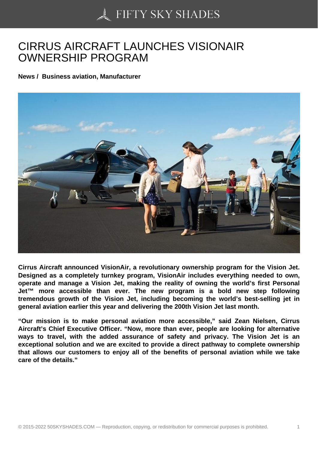## [CIRRUS AIRCRAFT LA](https://50skyshades.com)UNCHES VISIONAIR OWNERSHIP PROGRAM

News / Business aviation, Manufacturer

Cirrus Aircraft announced VisionAir, a revolutionary ownership program for the Vision Jet. Designed as a completely turnkey program, VisionAir includes everything needed to own, operate and manage a Vision Jet, making the reality of owning the world's first Personal Jet™ more accessible than ever. The new program is a bold new step following tremendous growth of the Vision Jet, including becoming the world's best-selling jet in general aviation earlier this year and delivering the 200th Vision Jet last month.

"Our mission is to make personal aviation more accessible," said Zean Nielsen, Cirrus Aircraft's Chief Executive Officer. "Now, more than ever, people are looking for alternative ways to travel, with the added assurance of safety and privacy. The Vision Jet is an exceptional solution and we are excited to provide a direct pathway to complete ownership that allows our customers to enjoy all of the benefits of personal aviation while we take care of the details."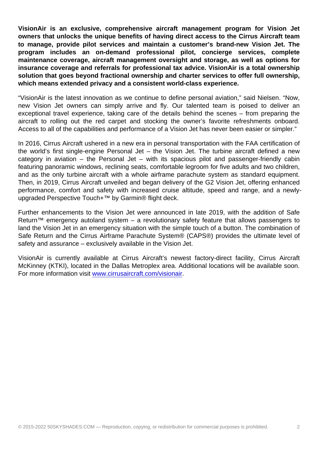VisionAir is an exclusive, comprehensive aircraft management program for Vision Jet owners that unlocks the unique benefits of having direct access to the Cirrus Aircraft team to manage, provide pilot services and maintain a customer's brand-new Vision Jet. The program includes an on-demand professional pilot, concierge services, complete maintenance coverage, aircraft management oversight and storage, as well as options for insurance coverage and referrals for professional tax advice. VisionAir is a total ownership solution that goes beyond fractional ownership and charter services to offer full ownership, which means extended privacy and a consistent world-class experience.

"VisionAir is the latest innovation as we continue to define personal aviation," said Nielsen. "Now, new Vision Jet owners can simply arrive and fly. Our talented team is poised to deliver an exceptional travel experience, taking care of the details behind the scenes – from preparing the aircraft to rolling out the red carpet and stocking the owner's favorite refreshments onboard. Access to all of the capabilities and performance of a Vision Jet has never been easier or simpler."

In 2016, Cirrus Aircraft ushered in a new era in personal transportation with the FAA certification of the world's first single-engine Personal Jet – the Vision Jet. The turbine aircraft defined a new category in aviation – the Personal Jet – with its spacious pilot and passenger-friendly cabin featuring panoramic windows, reclining seats, comfortable legroom for five adults and two children, and as the only turbine aircraft with a whole airframe parachute system as standard equipment. Then, in 2019, Cirrus Aircraft unveiled and began delivery of the G2 Vision Jet, offering enhanced performance, comfort and safety with increased cruise altitude, speed and range, and a newlyupgraded Perspective Touch+™ by Garmin® flight deck.

Further enhancements to the Vision Jet were announced in late 2019, with the addition of Safe Return<sup>™</sup> emergency autoland system – a revolutionary safety feature that allows passengers to land the Vision Jet in an emergency situation with the simple touch of a button. The combination of Safe Return and the Cirrus Airframe Parachute System® (CAPS®) provides the ultimate level of safety and assurance – exclusively available in the Vision Jet.

VisionAir is currently available at Cirrus Aircraft's newest factory-direct facility, Cirrus Aircraft McKinney (KTKI), located in the Dallas Metroplex area. Additional locations will be available soon. For more information visit www.cirrusaircraft.com/visionair.